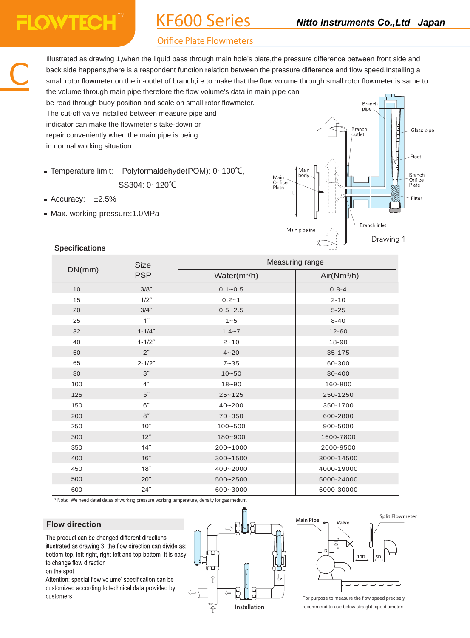# **FLOWTECHT**

C

# KF600 Series

# **Orifice Plate Flowmeters**

Illustrated as drawing 1,when the liquid pass through main hole's plate,the pressure difference between front side and back side happens,there is a respondent function relation between the pressure difference and flow speed.Installing a small rotor flowmeter on the in-outlet of branch,i.e.to make that the flow volume through small rotor flowmeter is same to the volume through main pipe,therefore the flow volume's data in main pipe can

be read through buoy position and scale on small rotor flowmeter. The cut-off valve installed between measure pipe and indicator can make the flowmeter's take-down or repair conveniently when the main pipe is being in normal working situation.

Temperature limit: Polyformaldehyde(POM): 0~100℃,

SS304: 0~120℃

- Accuracy: ±2.5%
- Max. working pressure:1.0MPa



| DN(mm) | <b>Size</b><br><b>PSP</b> | Measuring range |                         |  |
|--------|---------------------------|-----------------|-------------------------|--|
|        |                           | Water $(m^3/h)$ | Air(Nm <sup>3</sup> /h) |  |
| 10     | $3/8$ "                   | $0.1 - 0.5$     | $0.8 - 4$               |  |
| 15     | $1/2$ "                   | $0.2 - 1$       | $2 - 10$                |  |
| 20     | $3/4$ "                   | $0.5 - 2.5$     | $5 - 25$                |  |
| 25     | 1 <sup>''</sup>           | $1 - 5$         | $8 - 40$                |  |
| 32     | $1 - 1/4"$                | $1.4 - 7$       | $12 - 60$               |  |
| 40     | $1 - 1/2"$                | $2 - 10$        | 18-90                   |  |
| 50     | 2 <sup>''</sup>           | $4 - 20$        | 35-175                  |  |
| 65     | $2 - 1/2"$                | $7 - 35$        | 60-300                  |  |
| 80     | 3"                        | $10 - 50$       | 80-400                  |  |
| 100    | 4 <sup>''</sup>           | $18 - 90$       | 160-800                 |  |
| 125    | 5"                        | $25 - 125$      | 250-1250                |  |
| 150    | 6"                        | $40 - 200$      | 350-1700                |  |
| 200    | 8"                        | $70 - 350$      | 600-2800                |  |
| 250    | 10"                       | $100 - 500$     | 900-5000                |  |
| 300    | 12"                       | 180~900         | 1600-7800               |  |
| 350    | 14"                       | 200~1000        | 2000-9500               |  |
| 400    | 16"                       | $300 - 1500$    | 3000-14500              |  |
| 450    | 18"                       | 400~2000        | 4000-19000              |  |
| 500    | 20"                       | 500~2500        | 5000-24000              |  |
| 600    | 24"                       | 600~3000        | 6000-30000              |  |

\* Note: We need detail datas of working pressure,working temperature, density for gas medium.

# **Flow direction**

The product can be changed different directions illustrated as drawing 3, the flow direction can divide as: bottom-top, left-right, right-left and top-bottom. It is easy to change flow direction on the spot.

Attention: special flow volume' specification can be customized according to technical data provided by customers.





For purpose to measure the flow speed precisely, recommend to use below straight pipe diameter:

#### **Specifications**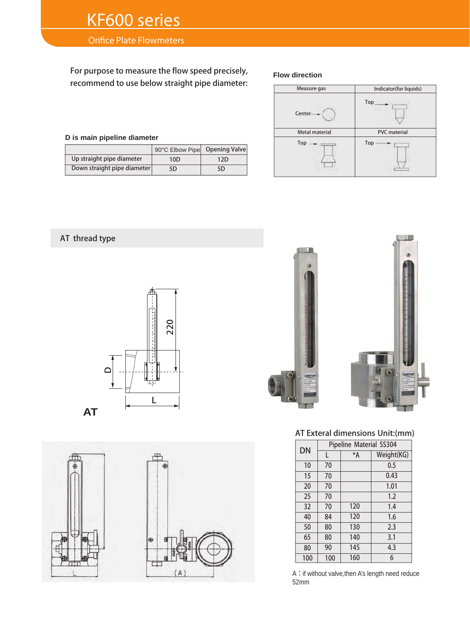# **Orifice Plate Flowmeters**

For purpose to measure the flow speed precisely, recommend to use below straight pipe diameter:

### **D is main pipeline diameter**

|                             | 90°C Elbow Pipe | Opening Valve |
|-----------------------------|-----------------|---------------|
| Up straight pipe diameter   | 10 <sub>D</sub> | 12D           |
| Down straight pipe diameter | 5D              | 5D            |

#### **Flow direction**



# AT thread type







## AT Exteral dimensions Unit:(mm)

| DN  | Pipeline Material SS304 |         |            |  |
|-----|-------------------------|---------|------------|--|
|     | L                       | $*_{A}$ | Weight(KG) |  |
| 10  | 70                      |         | 0.5        |  |
| 15  | 70                      |         | 0.43       |  |
| 20  | 70                      |         | 1.01       |  |
| 25  | 70                      |         | 1.2        |  |
| 32  | 70                      | 120     | 1.4        |  |
| 40  | 84                      | 120     | 1.6        |  |
| 50  | 80                      | 130     | 2.3        |  |
| 65  | 80                      | 140     | 3.1        |  |
| 80  | 90                      | 145     | 4.3        |  |
| 100 | 100                     | 160     | 6          |  |

A: if without valve, then A's length need reduce 52mm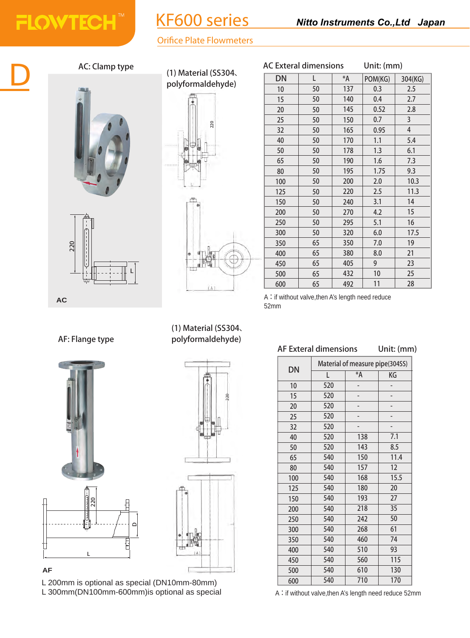# KF600 series

# **Orifice Plate Flowmeters**



# AC: Clamp type AC: AC: AC: AC: Exteral dimensions

**FLOWTECH™** 





(1) Material (SS304、



Unit: (mm) polyformaldehyde)  $\overline{DN}$  L  $\overline{*A}$  POM(KG) 304(KG)<br>polyformaldehyde)  $\overline{DN}$  L  $\overline{*A}$  POM(KG) 304(KG) 0.3 0.4 0.52 0.7 0.95 1.1 1.3 1.6 1.75 2.0 2.5 3.1 4.2 5.1 6.0 7.0 8.0 2.5 2.7 2.8 5.4 6.1 7.3 9.3 10.3 11.3 17.5 

> A: if without valve, then A's length need reduce 52mm

# AF Exteral dimensions Unit: (mm)

|     | Material of measure pipe(304SS) |     |      |  |  |
|-----|---------------------------------|-----|------|--|--|
| DN  | *A<br>L                         |     | KG   |  |  |
| 10  | 520                             |     |      |  |  |
| 15  | 520                             |     |      |  |  |
| 20  | 520                             |     |      |  |  |
| 25  | 520                             |     |      |  |  |
| 32  | 520                             |     |      |  |  |
| 40  | 520                             | 138 | 7.1  |  |  |
| 50  | 520                             | 143 | 8.5  |  |  |
| 65  | 540                             | 150 | 11.4 |  |  |
| 80  | 540                             | 157 | 12   |  |  |
| 100 | 540                             | 168 | 15.5 |  |  |
| 125 | 540                             | 180 | 20   |  |  |
| 150 | 540                             | 193 | 27   |  |  |
| 200 | 540                             | 218 | 35   |  |  |
| 250 | 540                             | 242 | 50   |  |  |
| 300 | 540                             | 268 | 61   |  |  |
| 350 | 540                             | 460 | 74   |  |  |
| 400 | 540                             | 510 | 93   |  |  |
| 450 | 540                             | 560 | 115  |  |  |
| 500 | 540                             | 610 | 130  |  |  |
| 600 | 540                             | 710 | 170  |  |  |

# A: if without valve, then A's length need reduce 52mm

AF: Flange type



## **AF**

L 200mm is optional as special (DN10mm-80mm) L 300mm(DN100mm-600mm)is optional as special

(1) Material (SS304、 polyformaldehyde)